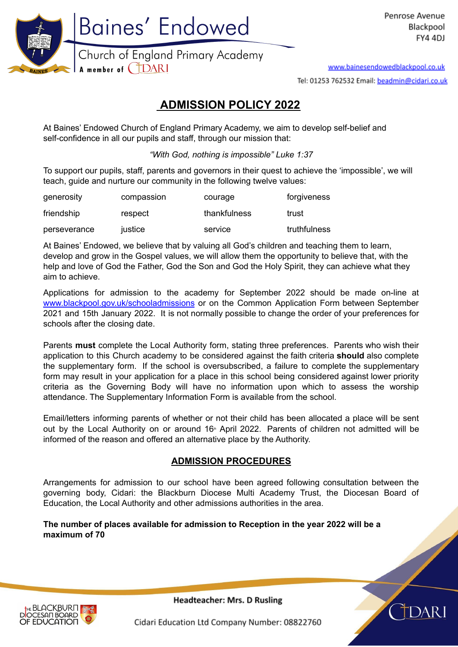

www.bainesendowedblackpool.co.uk

Tel: 01253 762532 Email: beadmin@cidari.co.uk

# **ADMISSION POLICY 2022**

At Baines' Endowed Church of England Primary Academy, we aim to develop self-belief and self-confidence in all our pupils and staff, through our mission that:

*"With God, nothing is impossible" Luke 1:37*

To support our pupils, staff, parents and governors in their quest to achieve the 'impossible', we will teach, quide and nurture our community in the following twelve values:

| generosity   | compassion | courage      | forgiveness  |
|--------------|------------|--------------|--------------|
| friendship   | respect    | thankfulness | trust        |
| perseverance | justice    | service      | truthfulness |

At Baines' Endowed, we believe that by valuing all God's children and teaching them to learn, develop and grow in the Gospel values, we will allow them the opportunity to believe that, with the help and love of God the Father, God the Son and God the Holy Spirit, they can achieve what they aim to achieve.

Applications for admission to the academy for September 2022 should be made on-line at [www.blackpool.gov.uk/schooladmissions](http://www.blackpool.gov.uk/schooladmissions) or on the Common Application Form between September 2021 and 15th January 2022. It is not normally possible to change the order of your preferences for schools after the closing date.

Parents **must** complete the Local Authority form, stating three preferences. Parents who wish their application to this Church academy to be considered against the faith criteria **should** also complete the supplementary form. If the school is oversubscribed, a failure to complete the supplementary form may result in your application for a place in this school being considered against lower priority criteria as the Governing Body will have no information upon which to assess the worship attendance. The Supplementary Information Form is available from the school.

Email/letters informing parents of whether or not their child has been allocated a place will be sent out by the Local Authority on or around 16<sup>th</sup> April 2022. Parents of children not admitted will be informed of the reason and offered an alternative place by the Authority.

# **ADMISSION PROCEDURES**

Arrangements for admission to our school have been agreed following consultation between the governing body, Cidari: the Blackburn Diocese Multi Academy Trust, the Diocesan Board of Education, the Local Authority and other admissions authorities in the area.

### **The number of places available for admission to Reception in the year 2022 will be a maximum of 70**



Headteacher: Mrs. D Rusling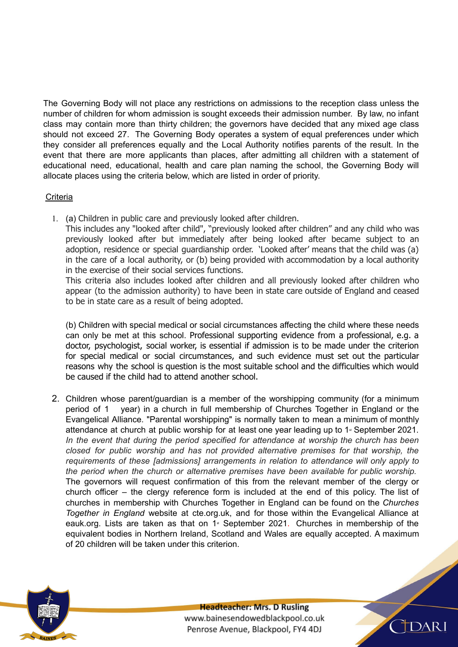The Governing Body will not place any restrictions on admissions to the reception class unless the number of children for whom admission is sought exceeds their admission number. By law, no infant class may contain more than thirty children; the governors have decided that any mixed age class should not exceed 27. The Governing Body operates a system of equal preferences under which they consider all preferences equally and the Local Authority notifies parents of the result. In the event that there are more applicants than places, after admitting all children with a statement of educational need, educational, health and care plan naming the school, the Governing Body will allocate places using the criteria below, which are listed in order of priority.

### **Criteria**

1. (a) Children in public care and previously looked after children.

This includes any "looked after child", "previously looked after children" and any child who was previously looked after but immediately after being looked after became subject to an adoption, residence or special guardianship order. 'Looked after' means that the child was (a) in the care of a local authority, or (b) being provided with accommodation by a local authority in the exercise of their social services functions.

This criteria also includes looked after children and all previously looked after children who appear (to the admission authority) to have been in state care outside of England and ceased to be in state care as a result of being adopted.

(b) Children with special medical or social circumstances affecting the child where these needs can only be met at this school. Professional supporting evidence from a professional, e.g. a doctor, psychologist, social worker, is essential if admission is to be made under the criterion for special medical or social circumstances, and such evidence must set out the particular reasons why the school is question is the most suitable school and the difficulties which would be caused if the child had to attend another school.

2. Children whose parent/guardian is a member of the worshipping community (for a minimum period of 1 year) in a church in full membership of Churches Together in England or the Evangelical Alliance. "Parental worshipping" is normally taken to mean a minimum of monthly attendance at church at public worship for at least one year leading up to 1<sup>st</sup> September 2021. *In the event that during the period specified for attendance at worship the church has been closed for public worship and has not provided alternative premises for that worship, the requirements of these [admissions] arrangements in relation to attendance will only apply to the period when the church or alternative premises have been available for public worship.* The governors will request confirmation of this from the relevant member of the clergy or church officer – the clergy reference form is included at the end of this policy. The list of churches in membership with Churches Together in England can be found on the *Churches Together in England* website at cte.org.uk, and for those within the Evangelical Alliance at eauk.org. Lists are taken as that on  $1*$  September 2021. Churches in membership of the equivalent bodies in Northern Ireland, Scotland and Wales are equally accepted. A maximum of 20 children will be taken under this criterion.



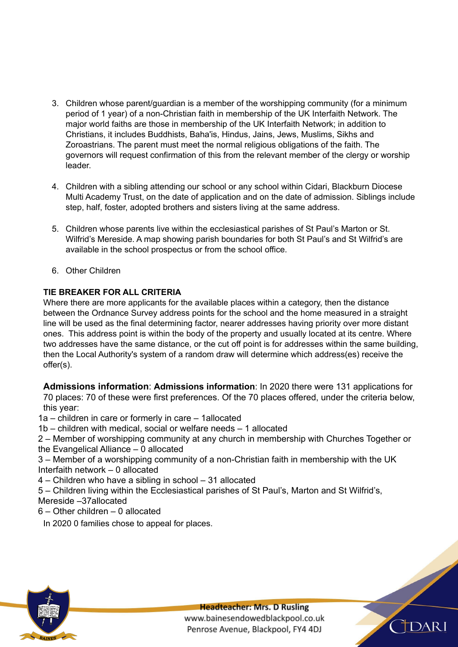- 3. Children whose parent/guardian is a member of the worshipping community (for a minimum period of 1 year) of a non-Christian faith in membership of the UK Interfaith Network. The major world faiths are those in membership of the UK Interfaith Network; in addition to Christians, it includes Buddhists, Baha'is, Hindus, Jains, Jews, Muslims, Sikhs and Zoroastrians. The parent must meet the normal religious obligations of the faith. The governors will request confirmation of this from the relevant member of the clergy or worship leader.
- 4. Children with a sibling attending our school or any school within Cidari, Blackburn Diocese Multi Academy Trust, on the date of application and on the date of admission. Siblings include step, half, foster, adopted brothers and sisters living at the same address.
- 5. Children whose parents live within the ecclesiastical parishes of St Paul's Marton or St. Wilfrid's Mereside. A map showing parish boundaries for both St Paul's and St Wilfrid's are available in the school prospectus or from the school office.
- 6. Other Children

# **TIE BREAKER FOR ALL CRITERIA**

Where there are more applicants for the available places within a category, then the distance between the Ordnance Survey address points for the school and the home measured in a straight line will be used as the final determining factor, nearer addresses having priority over more distant ones. This address point is within the body of the property and usually located at its centre. Where two addresses have the same distance, or the cut off point is for addresses within the same building, then the Local Authority's system of a random draw will determine which address(es) receive the offer(s).

**Admissions information**: **Admissions information**: In 2020 there were 131 applications for 70 places: 70 of these were first preferences. Of the 70 places offered, under the criteria below, this year:

1a – children in care or formerly in care – 1allocated

1b – children with medical, social or welfare needs – 1 allocated

2 – Member of worshipping community at any church in membership with Churches Together or the Evangelical Alliance – 0 allocated

3 – Member of a worshipping community of a non-Christian faith in membership with the UK Interfaith network – 0 allocated

4 – Children who have a sibling in school – 31 allocated

5 – Children living within the Ecclesiastical parishes of St Paul's, Marton and St Wilfrid's, Mereside –37allocated

6 – Other children – 0 allocated

In 2020 0 families chose to appeal for places.

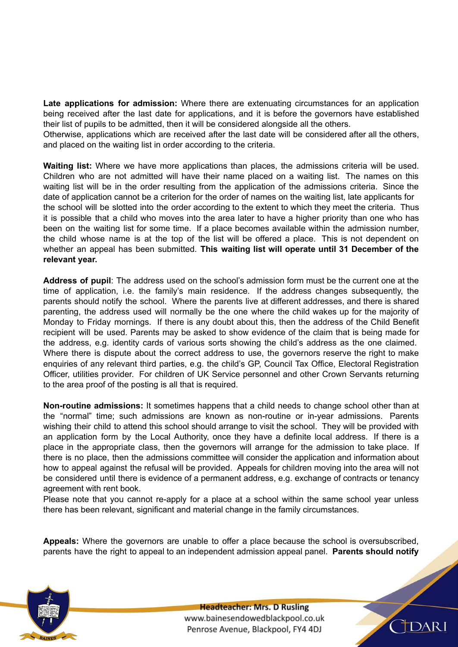**Late applications for admission:** Where there are extenuating circumstances for an application being received after the last date for applications, and it is before the governors have established their list of pupils to be admitted, then it will be considered alongside all the others.

Otherwise, applications which are received after the last date will be considered after all the others, and placed on the waiting list in order according to the criteria.

**Waiting list:** Where we have more applications than places, the admissions criteria will be used. Children who are not admitted will have their name placed on a waiting list. The names on this waiting list will be in the order resulting from the application of the admissions criteria. Since the date of application cannot be a criterion for the order of names on the waiting list, late applicants for the school will be slotted into the order according to the extent to which they meet the criteria. Thus it is possible that a child who moves into the area later to have a higher priority than one who has been on the waiting list for some time. If a place becomes available within the admission number, the child whose name is at the top of the list will be offered a place. This is not dependent on whether an appeal has been submitted. **This waiting list will operate until 31 December of the relevant year.**

**Address of pupil**: The address used on the school's admission form must be the current one at the time of application, i.e. the family's main residence. If the address changes subsequently, the parents should notify the school. Where the parents live at different addresses, and there is shared parenting, the address used will normally be the one where the child wakes up for the majority of Monday to Friday mornings. If there is any doubt about this, then the address of the Child Benefit recipient will be used. Parents may be asked to show evidence of the claim that is being made for the address, e.g. identity cards of various sorts showing the child's address as the one claimed. Where there is dispute about the correct address to use, the governors reserve the right to make enquiries of any relevant third parties, e.g. the child's GP, Council Tax Office, Electoral Registration Officer, utilities provider. For children of UK Service personnel and other Crown Servants returning to the area proof of the posting is all that is required.

**Non-routine admissions:** It sometimes happens that a child needs to change school other than at the "normal" time; such admissions are known as non-routine or in-year admissions. Parents wishing their child to attend this school should arrange to visit the school. They will be provided with an application form by the Local Authority, once they have a definite local address. If there is a place in the appropriate class, then the governors will arrange for the admission to take place. If there is no place, then the admissions committee will consider the application and information about how to appeal against the refusal will be provided. Appeals for children moving into the area will not be considered until there is evidence of a permanent address, e.g. exchange of contracts or tenancy agreement with rent book.

Please note that you cannot re-apply for a place at a school within the same school year unless there has been relevant, significant and material change in the family circumstances.

**Appeals:** Where the governors are unable to offer a place because the school is oversubscribed, parents have the right to appeal to an independent admission appeal panel. **Parents should notify**



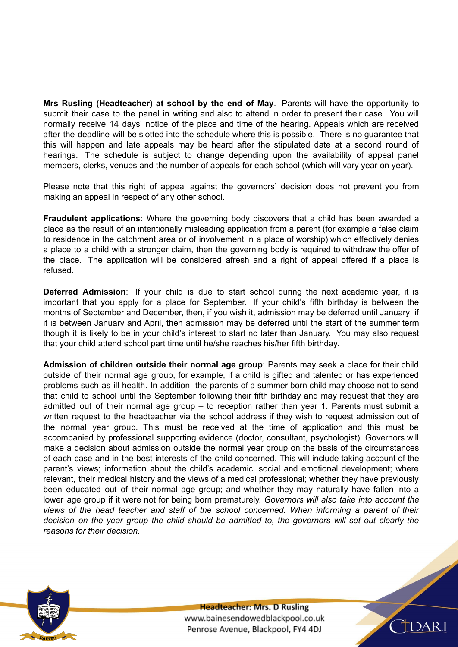**Mrs Rusling (Headteacher) at school by the end of May**. Parents will have the opportunity to submit their case to the panel in writing and also to attend in order to present their case. You will normally receive 14 days' notice of the place and time of the hearing. Appeals which are received after the deadline will be slotted into the schedule where this is possible. There is no guarantee that this will happen and late appeals may be heard after the stipulated date at a second round of hearings. The schedule is subject to change depending upon the availability of appeal panel members, clerks, venues and the number of appeals for each school (which will vary year on year).

Please note that this right of appeal against the governors' decision does not prevent you from making an appeal in respect of any other school.

**Fraudulent applications**: Where the governing body discovers that a child has been awarded a place as the result of an intentionally misleading application from a parent (for example a false claim to residence in the catchment area or of involvement in a place of worship) which effectively denies a place to a child with a stronger claim, then the governing body is required to withdraw the offer of the place. The application will be considered afresh and a right of appeal offered if a place is refused.

**Deferred Admission**: If your child is due to start school during the next academic year, it is important that you apply for a place for September. If your child's fifth birthday is between the months of September and December, then, if you wish it, admission may be deferred until January; if it is between January and April, then admission may be deferred until the start of the summer term though it is likely to be in your child's interest to start no later than January. You may also request that your child attend school part time until he/she reaches his/her fifth birthday.

**Admission of children outside their normal age group**: Parents may seek a place for their child outside of their normal age group, for example, if a child is gifted and talented or has experienced problems such as ill health. In addition, the parents of a summer born child may choose not to send that child to school until the September following their fifth birthday and may request that they are admitted out of their normal age group – to reception rather than year 1. Parents must submit a written request to the headteacher via the school address if they wish to request admission out of the normal year group. This must be received at the time of application and this must be accompanied by professional supporting evidence (doctor, consultant, psychologist). Governors will make a decision about admission outside the normal year group on the basis of the circumstances of each case and in the best interests of the child concerned. This will include taking account of the parent's views; information about the child's academic, social and emotional development; where relevant, their medical history and the views of a medical professional; whether they have previously been educated out of their normal age group; and whether they may naturally have fallen into a lower age group if it were not for being born prematurely. *Governors will also take into account the views of the head teacher and staff of the school concerned. When informing a parent of their decision on the year group the child should be admitted to, the governors will set out clearly the reasons for their decision.*



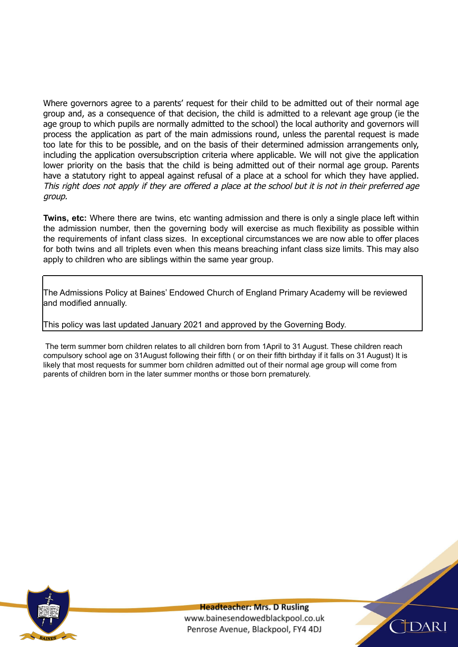Where governors agree to a parents' request for their child to be admitted out of their normal age group and, as a consequence of that decision, the child is admitted to a relevant age group (ie the age group to which pupils are normally admitted to the school) the local authority and governors will process the application as part of the main admissions round, unless the parental request is made too late for this to be possible, and on the basis of their determined admission arrangements only, including the application oversubscription criteria where applicable. We will not give the application lower priority on the basis that the child is being admitted out of their normal age group. Parents have a statutory right to appeal against refusal of a place at a school for which they have applied. This right does not apply if they are offered <sup>a</sup> place at the school but it is not in their preferred age group.

**Twins, etc:** Where there are twins, etc wanting admission and there is only a single place left within the admission number, then the governing body will exercise as much flexibility as possible within the requirements of infant class sizes. In exceptional circumstances we are now able to offer places for both twins and all triplets even when this means breaching infant class size limits. This may also apply to children who are siblings within the same year group.

The Admissions Policy at Baines' Endowed Church of England Primary Academy will be reviewed and modified annually.

This policy was last updated January 2021 and approved by the Governing Body.

The term summer born children relates to all children born from 1April to 31 August. These children reach compulsory school age on 31August following their fifth ( or on their fifth birthday if it falls on 31 August) It is likely that most requests for summer born children admitted out of their normal age group will come from parents of children born in the later summer months or those born prematurely.



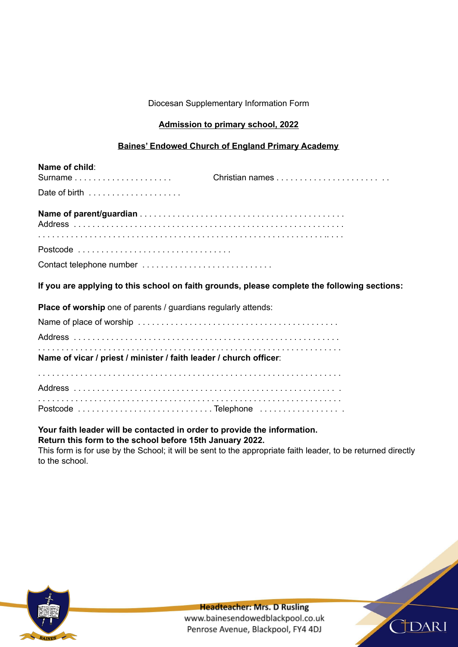Diocesan Supplementary Information Form

## **Admission to primary school, 2022**

#### **Baines' Endowed Church of England Primary Academy**

| Name of child:<br>Surname                                          |                                                                                              |
|--------------------------------------------------------------------|----------------------------------------------------------------------------------------------|
| Date of birth                                                      |                                                                                              |
|                                                                    |                                                                                              |
|                                                                    |                                                                                              |
| Contact telephone number                                           |                                                                                              |
|                                                                    | If you are applying to this school on faith grounds, please complete the following sections: |
| Place of worship one of parents / guardians regularly attends:     |                                                                                              |
|                                                                    |                                                                                              |
|                                                                    |                                                                                              |
| Name of vicar / priest / minister / faith leader / church officer: |                                                                                              |
|                                                                    |                                                                                              |
|                                                                    |                                                                                              |
|                                                                    |                                                                                              |

## **Your faith leader will be contacted in order to provide the information. Return this form to the school before 15th January 2022.**

This form is for use by the School; it will be sent to the appropriate faith leader, to be returned directly to the school.